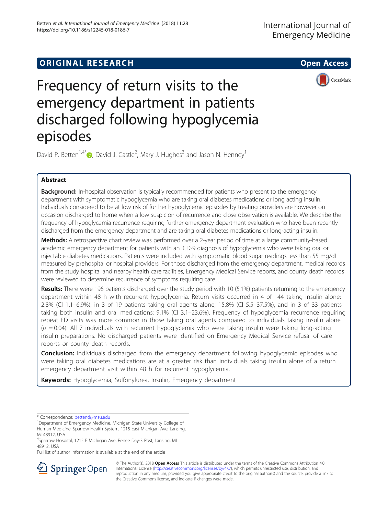# **ORIGINAL RESEARCH And Access** open Access of the United States of the United States of the United States of the U



# Frequency of return visits to the emergency department in patients discharged following hypoglycemia episodes

David P. Betten<sup>1[,](http://orcid.org/0000-0002-3891-0507)4\*</sup>  $\bullet$ , David J. Castle<sup>2</sup>, Mary J. Hughes<sup>3</sup> and Jason N. Henney<sup>1</sup>

# Abstract

**Background:** In-hospital observation is typically recommended for patients who present to the emergency department with symptomatic hypoglycemia who are taking oral diabetes medications or long acting insulin. Individuals considered to be at low risk of further hypoglycemic episodes by treating providers are however on occasion discharged to home when a low suspicion of recurrence and close observation is available. We describe the frequency of hypoglycemia recurrence requiring further emergency department evaluation who have been recently discharged from the emergency department and are taking oral diabetes medications or long-acting insulin.

Methods: A retrospective chart review was performed over a 2-year period of time at a large community-based academic emergency department for patients with an ICD-9 diagnosis of hypoglycemia who were taking oral or injectable diabetes medications. Patients were included with symptomatic blood sugar readings less than 55 mg/dL measured by prehospital or hospital providers. For those discharged from the emergency department, medical records from the study hospital and nearby health care facilities, Emergency Medical Service reports, and county death records were reviewed to determine recurrence of symptoms requiring care.

Results: There were 196 patients discharged over the study period with 10 (5.1%) patients returning to the emergency department within 48 h with recurrent hypoglycemia. Return visits occurred in 4 of 144 taking insulin alone; 2.8% (CI 1.1–6.9%), in 3 of 19 patients taking oral agents alone; 15.8% (CI 5.5–37.5%), and in 3 of 33 patients taking both insulin and oral medications; 9.1% (CI 3.1–23.6%). Frequency of hypoglycemia recurrence requiring repeat ED visits was more common in those taking oral agents compared to individuals taking insulin alone  $(p = 0.04)$ . All 7 individuals with recurrent hypoglycemia who were taking insulin were taking long-acting insulin preparations. No discharged patients were identified on Emergency Medical Service refusal of care reports or county death records.

**Conclusion:** Individuals discharged from the emergency department following hypoglycemic episodes who were taking oral diabetes medications are at a greater risk than individuals taking insulin alone of a return emergency department visit within 48 h for recurrent hypoglycemia.

Keywords: Hypoglycemia, Sulfonylurea, Insulin, Emergency department

\* Correspondence: [bettend@msu.edu](mailto:bettend@msu.edu) <sup>1</sup>

Full list of author information is available at the end of the article



© The Author(s). 2018 Open Access This article is distributed under the terms of the Creative Commons Attribution 4.0 International License ([http://creativecommons.org/licenses/by/4.0/\)](http://creativecommons.org/licenses/by/4.0/), which permits unrestricted use, distribution, and reproduction in any medium, provided you give appropriate credit to the original author(s) and the source, provide a link to the Creative Commons license, and indicate if changes were made.

<sup>&</sup>lt;sup>1</sup>Department of Emergency Medicine, Michigan State University College of Human Medicine, Sparrow Health System, 1215 East Michigan Ave, Lansing, MI 48912, USA

<sup>4</sup> Sparrow Hospital, 1215 E Michigan Ave, Renee Day-3 Post, Lansing, MI 48912, USA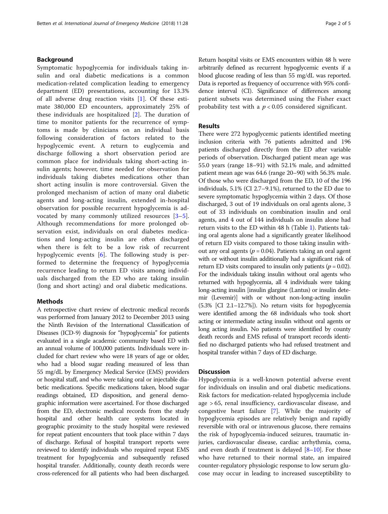Symptomatic hypoglycemia for individuals taking insulin and oral diabetic medications is a common medication-related complication leading to emergency department (ED) presentations, accounting for 13.3% of all adverse drug reaction visits [\[1](#page-3-0)]. Of these estimate 380,000 ED encounters, approximately 25% of these individuals are hospitalized [[2\]](#page-3-0). The duration of time to monitor patients for the recurrence of symptoms is made by clinicians on an individual basis following consideration of factors related to the hypoglycemic event. A return to euglycemia and discharge following a short observation period are common place for individuals taking short-acting insulin agents; however, time needed for observation for individuals taking diabetes medications other than short acting insulin is more controversial. Given the prolonged mechanism of action of many oral diabetic agents and long-acting insulin, extended in-hospital observation for possible recurrent hypoglycemia is advocated by many commonly utilized resources [[3](#page-3-0)–[5](#page-3-0)]. Although recommendations for more prolonged observation exist, individuals on oral diabetes medications and long-acting insulin are often discharged when there is felt to be a low risk of recurrent hypoglycemic events [\[6](#page-3-0)]. The following study is performed to determine the frequency of hypoglycemia recurrence leading to return ED visits among individuals discharged from the ED who are taking insulin (long and short acting) and oral diabetic medications.

## Methods

A retrospective chart review of electronic medical records was performed from January 2012 to December 2013 using the Ninth Revision of the International Classification of Diseases (ICD-9) diagnosis for "hypoglycemia" for patients evaluated in a single academic community based ED with an annual volume of 100,000 patients. Individuals were included for chart review who were 18 years of age or older, who had a blood sugar reading measured of less than 55 mg/dL by Emergency Medical Service (EMS) providers or hospital staff, and who were taking oral or injectable diabetic medications. Specific medications taken, blood sugar readings obtained, ED disposition, and general demographic information were ascertained. For those discharged from the ED, electronic medical records from the study hospital and other health care systems located in geographic proximity to the study hospital were reviewed for repeat patient encounters that took place within 7 days of discharge. Refusal of hospital transport reports were reviewed to identify individuals who required repeat EMS treatment for hypoglycemia and subsequently refused hospital transfer. Additionally, county death records were cross-referenced for all patients who had been discharged. Return hospital visits or EMS encounters within 48 h were arbitrarily defined as recurrent hypoglycemic events if a blood glucose reading of less than 55 mg/dL was reported. Data is reported as frequency of occurrence with 95% confidence interval (CI). Significance of differences among patient subsets was determined using the Fisher exact probability test with a  $p < 0.05$  considered significant.

## Results

There were 272 hypoglycemic patients identified meeting inclusion criteria with 76 patients admitted and 196 patients discharged directly from the ED after variable periods of observation. Discharged patient mean age was 55.0 years (range 18–91) with 52.1% male, and admitted patient mean age was 64.6 (range 20–90) with 56.3% male. Of those who were discharged from the ED, 10 of the 196 individuals, 5.1% (CI 2.7–9.1%), returned to the ED due to severe symptomatic hypoglycemia within 2 days. Of those discharged, 3 out of 19 individuals on oral agents alone, 3 out of 33 individuals on combination insulin and oral agents, and 4 out of 144 individuals on insulin alone had return visits to the ED within 48 h (Table [1](#page-2-0)). Patients taking oral agents alone had a significantly greater likelihood of return ED visits compared to those taking insulin without any oral agents ( $p = 0.04$ ). Patients taking an oral agent with or without insulin additionally had a significant risk of return ED visits compared to insulin only patients ( $p = 0.02$ ). For the individuals taking insulin without oral agents who returned with hypoglycemia, all 4 individuals were taking long-acting insulin [insulin glargine (Lantus) or insulin detemir (Levemir)] with or without non-long-acting insulin (5.3% [CI 2.1–12.7%]). No return visits for hypoglycemia were identified among the 68 individuals who took short acting or intermediate acting insulin without oral agents or long acting insulin. No patients were identified by county death records and EMS refusal of transport records identified no discharged patients who had refused treatment and hospital transfer within 7 days of ED discharge.

## **Discussion**

Hypoglycemia is a well-known potential adverse event for individuals on insulin and oral diabetic medications. Risk factors for medication-related hypoglycemia include age > 65, renal insufficiency, cardiovascular disease, and congestive heart failure [\[7](#page-3-0)]. While the majority of hypoglycemia episodes are relatively benign and rapidly reversible with oral or intravenous glucose, there remains the risk of hypoglycemia-induced seizures, traumatic injuries, cardiovascular disease, cardiac arrhythmia, coma, and even death if treatment is delayed  $[8-10]$  $[8-10]$  $[8-10]$ . For those who have returned to their normal state, an impaired counter-regulatory physiologic response to low serum glucose may occur in leading to increased susceptibility to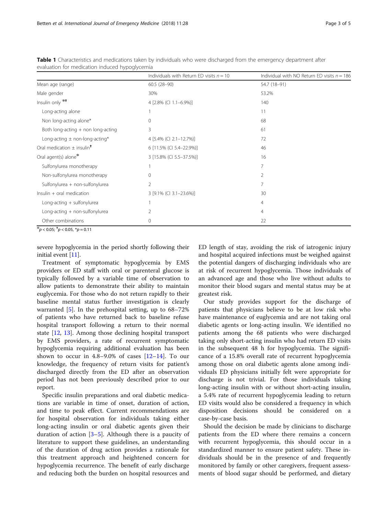|                                            | Individuals with Return ED visits $n = 10$ | Individual with NO Return ED visits $n = 186$ |
|--------------------------------------------|--------------------------------------------|-----------------------------------------------|
| Mean age (range)                           | $60.5(28-90)$                              | 54.7 (18-91)                                  |
| Male gender                                | 30%                                        | 53.2%                                         |
| Insulin only **                            | 4 [2.8% (CI 1.1-6.9%)]                     | 140                                           |
| Long-acting alone                          |                                            | 11                                            |
| Non long-acting alone*                     | 0                                          | 68                                            |
| Both long-acting + non long-acting         | 3                                          | 61                                            |
| Long-acting $\pm$ non-long-acting*         | 4 [5.4% (CI 2.1-12.7%)]                    | 72                                            |
| Oral medication $\pm$ insulin <sup>t</sup> | 6 [11.5% (CI 5.4-22.9%)]                   | 46                                            |
| Oral agent(s) alone $*$                    | 3 [15.8% (CI 5.5-37.5%)]                   | 16                                            |
| Sulfonylurea monotherapy                   |                                            | 7                                             |
| Non-sulfonylurea monotherapy               | 0                                          | 2                                             |
| Sulfonylurea + non-sulfonylurea            | 2                                          | 7                                             |
| $Insulin + oral medication$                | 3 [9.1% (CI 3.1-23.6%)]                    | 30                                            |
| Long-acting + sulfonylurea                 |                                            | 4                                             |
| Long-acting + non-sulfonylurea             | $\mathfrak{D}$                             | $\overline{4}$                                |
| Other combinations                         | $\Omega$                                   | 22                                            |

<span id="page-2-0"></span>Table 1 Characteristics and medications taken by individuals who were discharged from the emergency department after evaluation for medication induced hypoglycemia

 $*_{p}$  < 0.05;  $*_{p}$  < 0.05,  $*_{p}$  = 0.11

severe hypoglycemia in the period shortly following their initial event [\[11\]](#page-4-0).

Treatment of symptomatic hypoglycemia by EMS providers or ED staff with oral or parenteral glucose is typically followed by a variable time of observation to allow patients to demonstrate their ability to maintain euglycemia. For those who do not return rapidly to their baseline mental status further investigation is clearly warranted [[5\]](#page-3-0). In the prehospital setting, up to 68–72% of patients who have returned back to baseline refuse hospital transport following a return to their normal state [\[12](#page-4-0), [13\]](#page-4-0). Among those declining hospital transport by EMS providers, a rate of recurrent symptomatic hypoglycemia requiring additional evaluation has been shown to occur in  $4.8-9.0\%$  of cases  $[12-14]$  $[12-14]$  $[12-14]$ . To our knowledge, the frequency of return visits for patient's discharged directly from the ED after an observation period has not been previously described prior to our report.

Specific insulin preparations and oral diabetic medications are variable in time of onset, duration of action, and time to peak effect. Current recommendations are for hospital observation for individuals taking either long-acting insulin or oral diabetic agents given their duration of action  $[3-5]$  $[3-5]$  $[3-5]$ . Although there is a paucity of literature to support these guidelines, an understanding of the duration of drug action provides a rationale for this treatment approach and heightened concern for hypoglycemia recurrence. The benefit of early discharge and reducing both the burden on hospital resources and

ED length of stay, avoiding the risk of iatrogenic injury and hospital acquired infections must be weighed against the potential dangers of discharging individuals who are at risk of recurrent hypoglycemia. Those individuals of an advanced age and those who live without adults to monitor their blood sugars and mental status may be at greatest risk.

Our study provides support for the discharge of patients that physicians believe to be at low risk who have maintenance of euglycemia and are not taking oral diabetic agents or long-acting insulin. We identified no patients among the 68 patients who were discharged taking only short-acting insulin who had return ED visits in the subsequent 48 h for hypoglycemia. The significance of a 15.8% overall rate of recurrent hypoglycemia among those on oral diabetic agents alone among individuals ED physicians initially felt were appropriate for discharge is not trivial. For those individuals taking long-acting insulin with or without short-acting insulin, a 5.4% rate of recurrent hypoglycemia leading to return ED visits would also be considered a frequency in which disposition decisions should be considered on a case-by-case basis.

Should the decision be made by clinicians to discharge patients from the ED where there remains a concern with recurrent hypoglycemia, this should occur in a standardized manner to ensure patient safety. These individuals should be in the presence of and frequently monitored by family or other caregivers, frequent assessments of blood sugar should be performed, and dietary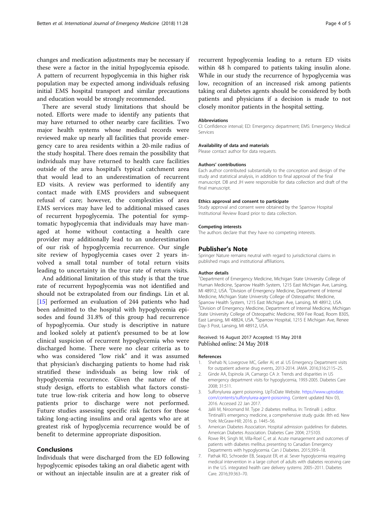<span id="page-3-0"></span>changes and medication adjustments may be necessary if these were a factor in the initial hypoglycemia episode. A pattern of recurrent hypoglycemia in this higher risk population may be expected among individuals refusing initial EMS hospital transport and similar precautions and education would be strongly recommended.

There are several study limitations that should be noted. Efforts were made to identify any patients that may have returned to other nearby care facilities. Two major health systems whose medical records were reviewed make up nearly all facilities that provide emergency care to area residents within a 20-mile radius of the study hospital. There does remain the possibility that individuals may have returned to health care facilities outside of the area hospital's typical catchment area that would lead to an underestimation of recurrent ED visits. A review was performed to identify any contact made with EMS providers and subsequent refusal of care; however, the complexities of area EMS services may have led to additional missed cases of recurrent hypoglycemia. The potential for symptomatic hypoglycemia that individuals may have managed at home without contacting a health care provider may additionally lead to an underestimation of our risk of hypoglycemia recurrence. Our single site review of hypoglycemia cases over 2 years involved a small total number of total return visits leading to uncertainty in the true rate of return visits.

And additional limitation of this study is that the true rate of recurrent hypoglycemia was not identified and should not be extrapolated from our findings. Lin et al. [[15\]](#page-4-0) performed an evaluation of 244 patients who had been admitted to the hospital with hypoglycemia episodes and found 31.8% of this group had recurrence of hypoglycemia. Our study is descriptive in nature and looked solely at patient's presumed to be at low clinical suspicion of recurrent hypoglycemia who were discharged home. There were no clear criteria as to who was considered "low risk" and it was assumed that physician's discharging patients to home had risk stratified these individuals as being low risk of hypoglycemia recurrence. Given the nature of the study design, efforts to establish what factors constitute true low-risk criteria and how long to observe patients prior to discharge were not performed. Future studies assessing specific risk factors for those taking long-acting insulins and oral agents who are at greatest risk of hypoglycemia recurrence would be of benefit to determine appropriate disposition.

## Conclusions

Individuals that were discharged from the ED following hypoglycemic episodes taking an oral diabetic agent with or without an injectable insulin are at a greater risk of

recurrent hypoglycemia leading to a return ED visits within 48 h compared to patients taking insulin alone. While in our study the recurrence of hypoglycemia was low, recognition of an increased risk among patients taking oral diabetes agents should be considered by both patients and physicians if a decision is made to not closely monitor patients in the hospital setting.

#### Abbreviations

CI: Confidence interval; ED: Emergency department; EMS: Emergency Medical Services

#### Availability of data and materials

Please contact author for data requests.

#### Authors' contributions

Each author contributed substantially to the conception and design of the study and statistical analysis, in addition to final approval of the final manuscript. DB and JH were responsible for data collection and draft of the final manuscript.

#### Ethics approval and consent to participate

Study approval and consent were obtained by the Sparrow Hospital Institutional Review Board prior to data collection.

#### Competing interests

The authors declare that they have no competing interests.

#### Publisher's Note

Springer Nature remains neutral with regard to jurisdictional claims in published maps and institutional affiliations.

#### Author details

<sup>1</sup>Department of Emergency Medicine, Michigan State University College of Human Medicine, Sparrow Health System, 1215 East Michigan Ave, Lansing, MI 48912, USA. <sup>2</sup> Division of Emergency Medicine, Department of Internal Medicine, Michigan State University College of Osteopathic Medicine, Sparrow Health System, 1215 East Michigan Ave, Lansing, MI 48912, USA. <sup>3</sup> Division of Emergency Medicine, Department of Internal Medicine, Michigan State University College of Osteopathic Medicine, 909 Fee Road, Room B305, East Lansing, MI 48824, USA. <sup>4</sup>Sparrow Hospital, 1215 E Michigan Ave, Renee Day-3 Post, Lansing, MI 48912, USA.

#### Received: 16 August 2017 Accepted: 15 May 2018 Published online: 24 May 2018

#### References

- 1. Shehab N, Lovegrove MC, Geller AI, et al. US Emergency Department visits for outpatient adverse drug events, 2013-2014. JAMA. 2016;316:2115–25.
- 2. Ginde AA, Espinola JA, Camargo CA Jr. Trends and disparities in US emergency department visits for hypoglycemia, 1993-2005. Diabetes Care 2008; 31:511.
- 3. Sulfonylurea agent poisoning. UpToDate Website. [https://www.uptodate.](https://www.uptodate.com/contents/sulfonylurea-agent-poisoning) [com/contents/sulfonylurea-agent-poisoning](https://www.uptodate.com/contents/sulfonylurea-agent-poisoning). Content updated Nov 03, 2016. Accessed 22 Jan 2017.
- 4. Jalili M, Niroomand M. Type 2 diabetes mellitus. In: Tintinalli J, editor. Tintinalli's emergency medicine, a comprehensive study guide. 8th ed. New York: McGraw-Hill; 2016. p. 1445–56.
- 5. American Diabetes Association. Hospital admission guidelines for diabetes. American Diabetes Association. Diabetes Care 2004; 27:S103.
- 6. Rowe RH, Singh M, Villa-Roel C, et al. Acute management and outcomes of patients with diabetes mellitus presenting to Canadian Emergency Departments with hypoglycemia. Can J Diabetes. 2015;39:9–18.
- 7. Pathak RD, Schroeder EB, Seaquist ER, et al. Sever hypoglycemia requiring medical intervention in a large cohort of adults with diabetes receiving care in the U.S. integrated health care delivery systems: 2005–2011. Diabetes Care. 2016;39:363–70.